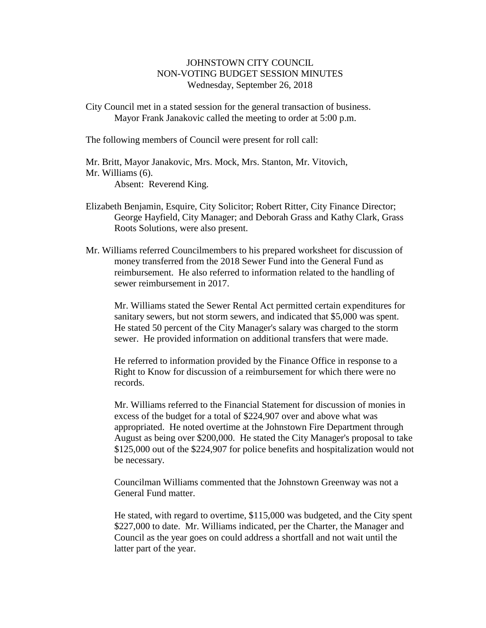## JOHNSTOWN CITY COUNCIL NON-VOTING BUDGET SESSION MINUTES Wednesday, September 26, 2018

City Council met in a stated session for the general transaction of business. Mayor Frank Janakovic called the meeting to order at 5:00 p.m.

The following members of Council were present for roll call:

Mr. Britt, Mayor Janakovic, Mrs. Mock, Mrs. Stanton, Mr. Vitovich, Mr. Williams (6). Absent: Reverend King.

- Elizabeth Benjamin, Esquire, City Solicitor; Robert Ritter, City Finance Director; George Hayfield, City Manager; and Deborah Grass and Kathy Clark, Grass Roots Solutions, were also present.
- Mr. Williams referred Councilmembers to his prepared worksheet for discussion of money transferred from the 2018 Sewer Fund into the General Fund as reimbursement. He also referred to information related to the handling of sewer reimbursement in 2017.

Mr. Williams stated the Sewer Rental Act permitted certain expenditures for sanitary sewers, but not storm sewers, and indicated that \$5,000 was spent. He stated 50 percent of the City Manager's salary was charged to the storm sewer. He provided information on additional transfers that were made.

He referred to information provided by the Finance Office in response to a Right to Know for discussion of a reimbursement for which there were no records.

Mr. Williams referred to the Financial Statement for discussion of monies in excess of the budget for a total of \$224,907 over and above what was appropriated. He noted overtime at the Johnstown Fire Department through August as being over \$200,000. He stated the City Manager's proposal to take \$125,000 out of the \$224,907 for police benefits and hospitalization would not be necessary.

Councilman Williams commented that the Johnstown Greenway was not a General Fund matter.

He stated, with regard to overtime, \$115,000 was budgeted, and the City spent \$227,000 to date. Mr. Williams indicated, per the Charter, the Manager and Council as the year goes on could address a shortfall and not wait until the latter part of the year.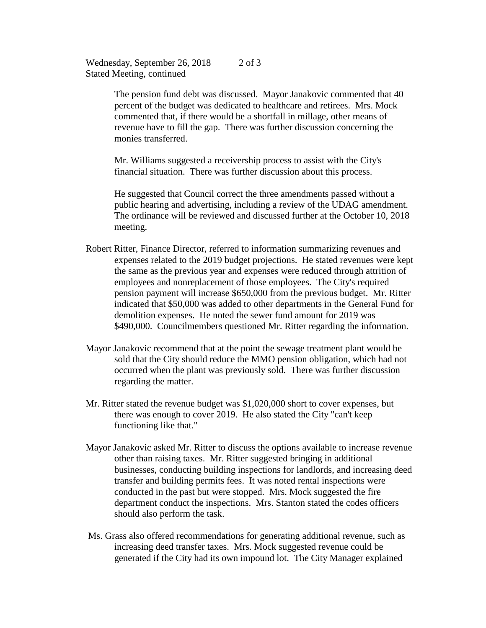Wednesday, September 26, 2018 Stated Meeting, continued 2 of 3

> The pension fund debt was discussed. Mayor Janakovic commented that 40 percent of the budget was dedicated to healthcare and retirees. Mrs. Mock commented that, if there would be a shortfall in millage, other means of revenue have to fill the gap. There was further discussion concerning the monies transferred.

Mr. Williams suggested a receivership process to assist with the City's financial situation. There was further discussion about this process.

He suggested that Council correct the three amendments passed without a public hearing and advertising, including a review of the UDAG amendment. The ordinance will be reviewed and discussed further at the October 10, 2018 meeting.

- Robert Ritter, Finance Director, referred to information summarizing revenues and expenses related to the 2019 budget projections. He stated revenues were kept the same as the previous year and expenses were reduced through attrition of employees and nonreplacement of those employees. The City's required pension payment will increase \$650,000 from the previous budget. Mr. Ritter indicated that \$50,000 was added to other departments in the General Fund for demolition expenses. He noted the sewer fund amount for 2019 was \$490,000. Councilmembers questioned Mr. Ritter regarding the information.
- Mayor Janakovic recommend that at the point the sewage treatment plant would be sold that the City should reduce the MMO pension obligation, which had not occurred when the plant was previously sold. There was further discussion regarding the matter.
- Mr. Ritter stated the revenue budget was \$1,020,000 short to cover expenses, but there was enough to cover 2019. He also stated the City "can't keep functioning like that."
- Mayor Janakovic asked Mr. Ritter to discuss the options available to increase revenue other than raising taxes. Mr. Ritter suggested bringing in additional businesses, conducting building inspections for landlords, and increasing deed transfer and building permits fees. It was noted rental inspections were conducted in the past but were stopped. Mrs. Mock suggested the fire department conduct the inspections. Mrs. Stanton stated the codes officers should also perform the task.
- Ms. Grass also offered recommendations for generating additional revenue, such as increasing deed transfer taxes. Mrs. Mock suggested revenue could be generated if the City had its own impound lot. The City Manager explained